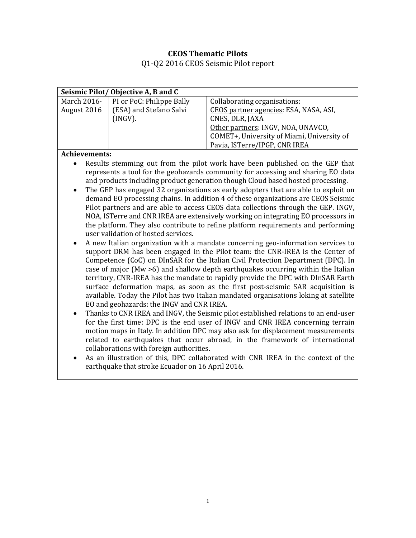## **CEOS Thematic Pilots**

Q1-Q2 2016 CEOS Seismic Pilot report

| Seismic Pilot/Objective A, B and C |                           |                                            |  |  |  |  |  |
|------------------------------------|---------------------------|--------------------------------------------|--|--|--|--|--|
| March 2016-                        | PI or PoC: Philippe Bally | Collaborating organisations:               |  |  |  |  |  |
| August 2016                        | (ESA) and Stefano Salvi   | CEOS partner agencies: ESA, NASA, ASI,     |  |  |  |  |  |
|                                    | (INGV).                   | CNES, DLR, JAXA                            |  |  |  |  |  |
|                                    |                           | Other partners: INGV, NOA, UNAVCO,         |  |  |  |  |  |
|                                    |                           | COMET+, University of Miami, University of |  |  |  |  |  |
|                                    |                           | Pavia, ISTerre/IPGP, CNR IREA              |  |  |  |  |  |
| <b>Achievements:</b>               |                           |                                            |  |  |  |  |  |

- Results stemming out from the pilot work have been published on the GEP that represents a tool for the geohazards community for accessing and sharing EO data and products including product generation though Cloud based hosted processing.
- The GEP has engaged 32 organizations as early adopters that are able to exploit on demand EO processing chains. In addition 4 of these organizations are CEOS Seismic Pilot partners and are able to access CEOS data collections through the GEP. INGV, NOA, ISTerre and CNR IREA are extensively working on integrating EO processors in the platform. They also contribute to refine platform requirements and performing user validation of hosted services.
- A new Italian organization with a mandate concerning geo-information services to support DRM has been engaged in the Pilot team: the CNR-IREA is the Center of Competence (CoC) on DInSAR for the Italian Civil Protection Department (DPC). In case of major (Mw >6) and shallow depth earthquakes occurring within the Italian territory, CNR-IREA has the mandate to rapidly provide the DPC with DInSAR Earth surface deformation maps, as soon as the first post-seismic SAR acquisition is available. Today the Pilot has two Italian mandated organisations loking at satellite EO and geohazards: the INGV and CNR IREA.
- Thanks to CNR IREA and INGV, the Seismic pilot established relations to an end-user for the first time: DPC is the end user of INGV and CNR IREA concerning terrain motion maps in Italy. In addition DPC may also ask for displacement measurements related to earthquakes that occur abroad, in the framework of international collaborations with foreign authorities.
- As an illustration of this, DPC collaborated with CNR IREA in the context of the earthquake that stroke Ecuador on 16 April 2016.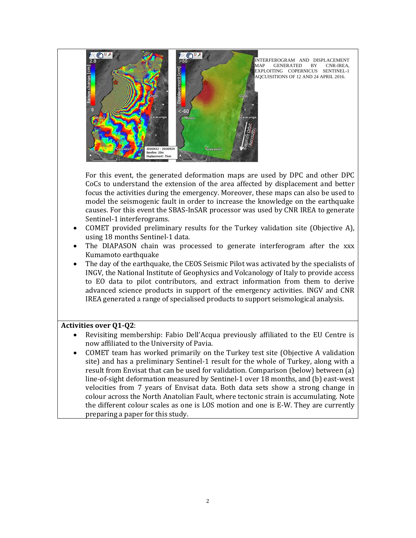

**INTERFEROGRAM AND DISPLACEMENT MAP GENERATED BY CNR-IREA.** GENERATED BY EXPLOITING COPERNICUS SENTINEL-1 AQCUISITIONS OF 12 AND 24 APRIL 2016.

For this event, the generated deformation maps are used by DPC and other DPC CoCs to understand the extension of the area affected by displacement and better focus the activities during the emergency. Moreover, these maps can also be used to model the seismogenic fault in order to increase the knowledge on the earthquake causes. For this event the SBAS-InSAR processor was used by CNR IREA to generate Sentinel-1 interferograms.

- COMET provided preliminary results for the Turkey validation site (Objective A), using 18 months Sentinel-1 data.
- The DIAPASON chain was processed to generate interferogram after the xxx Kumamoto earthquake
- The day of the earthquake, the CEOS Seismic Pilot was activated by the specialists of INGV, the National Institute of Geophysics and Volcanology of Italy to provide access to EO data to pilot contributors, and extract information from them to derive advanced science products in support of the emergency activities. INGV and CNR IREA generated a range of specialised products to support seismological analysis.

## **Activities over Q1-Q2**:

- Revisiting membership: Fabio Dell'Acqua previously affiliated to the EU Centre is now affiliated to the University of Pavia.
- COMET team has worked primarily on the Turkey test site (Objective A validation site) and has a preliminary Sentinel-1 result for the whole of Turkey, along with a result from Envisat that can be used for validation. Comparison (below) between (a) line-of-sight deformation measured by Sentinel-1 over 18 months, and (b) east-west velocities from 7 years of Envisat data. Both data sets show a strong change in colour across the North Anatolian Fault, where tectonic strain is accumulating. Note the different colour scales as one is LOS motion and one is E-W. They are currently preparing a paper for this study.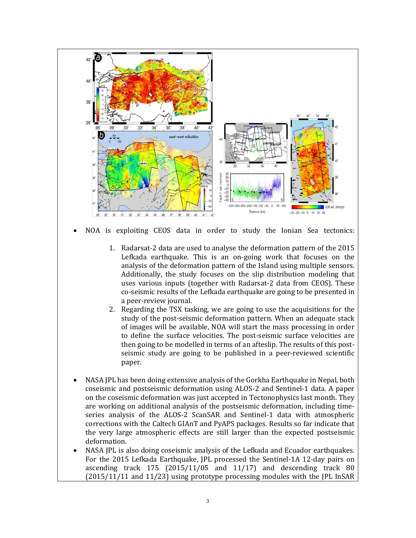

- to define the surface velocities. The post-seismic surface velocities are then going to be modelled in terms of an afteslip. The results of this postseismic study are going to be published in a peer-reviewed scientific paper.
- NASA JPL has been doing extensive analysis of the Gorkha Earthquake in Nepal, both coseismic and postseismic deformation using ALOS-2 and Sentinel-1 data. A paper on the coseismic deformation was just accepted in Tectonophysics last month. They are working on additional analysis of the postseismic deformation, including timeseries analysis of the ALOS-2 ScanSAR and Sentinel-1 data with atmospheric corrections with the Caltech GIAnT and PyAPS packages. Results so far indicate that the very large atmospheric effects are still larger than the expected postseismic deformation.
- NASA JPL is also doing coseismic analysis of the Lefkada and Ecuador earthquakes. For the 2015 Lefkada Earthquake, JPL processed the Sentinel-1A 12-day pairs on ascending track 175 (2015/11/05 and 11/17) and descending track 80 (2015/11/11 and 11/23) using prototype processing modules with the JPL InSAR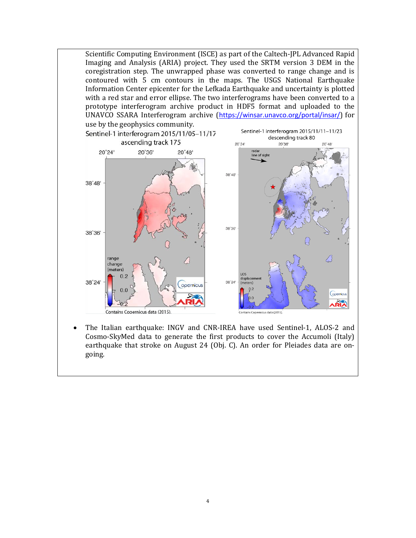

• The Italian earthquake: INGV and CNR-IREA have used Sentinel-1, ALOS-2 and Cosmo-SkyMed data to generate the first products to cover the Accumoli (Italy) earthquake that stroke on August 24 (Obj. C). An order for Pleiades data are ongoing.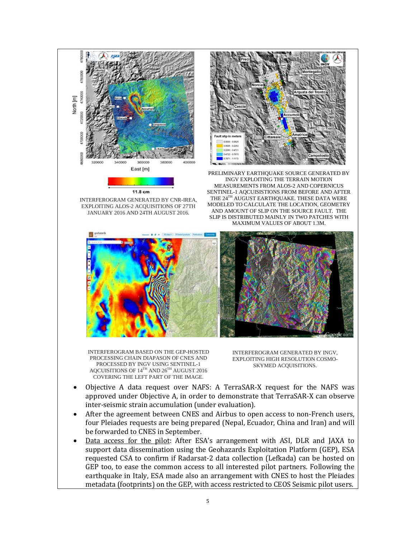

INTERFEROGRAM GENERATED BY CNR-IREA, EXPLOITING ALOS-2 ACQUISITIONS OF 27TH JANUARY 2016 AND 24TH AUGUST 2016.



PRELIMINARY EARTHQUAKE SOURCE GENERATED BY INGV EXPLOITING THE TERRAIN MOTION MEASUREMENTS FROM ALOS-2 AND COPERNICUS SENTINEL-1 AQCUISISTIONS FROM BEFORE AND AFTER THE 24<sup>TH</sup> AUGUST EARTHQUAKE. THESE DATA WERE MODELED TO CALCULATE THE LOCATION, GEOMETRY AND AMOUNT OF SLIP ON THE SOURCE FAULT. THE SLIP IS DISTRIBUTED MAINLY IN TWO PATCHES WITH MAXIMUM VALUES OF ABOUT 1.3M.



INTERFEROGRAM BASED ON THE GEP-HOSTED PROCESSING CHAIN DIAPASON OF CNES AND PROCESSED BY INGV USING SENTINEL-1 AQCUISITIONS OF  $14^{\mathrm{TH}}$  AND  $26^{\mathrm{TH}}$  AUGUST 2016 COVERING THE LEFT PART OF THE IMAGE.

INTERFEROGRAM GENERATED BY INGV, EXPLOITING HIGH RESOLUTION COSMO-SKYMED ACQUISITIONS.

- Objective A data request over NAFS: A TerraSAR-X request for the NAFS was approved under Objective A, in order to demonstrate that TerraSAR-X can observe inter-seismic strain accumulation (under evaluation).
- After the agreement between CNES and Airbus to open access to non-French users, four Pleiades requests are being prepared (Nepal, Ecuador, China and Iran) and will be forwarded to CNES in September.
- Data access for the pilot: After ESA's arrangement with ASI, DLR and JAXA to support data dissemination using the Geohazards Exploitation Platform (GEP), ESA requested CSA to confirm if Radarsat-2 data collection (Lefkada) can be hosted on GEP too, to ease the common access to all interested pilot partners. Following the earthquake in Italy, ESA made also an arrangement with CNES to host the Pleiades metadata (footprints) on the GEP, with access restricted to CEOS Seismic pilot users.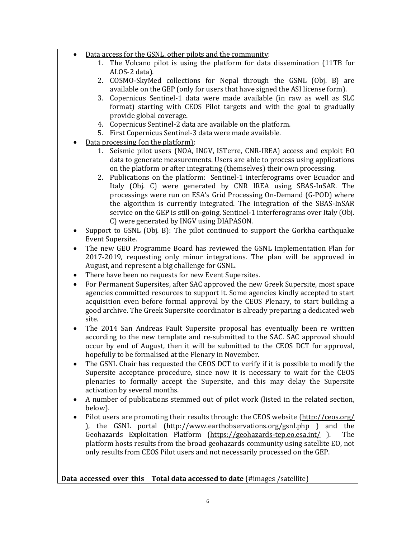- Data access for the GSNL, other pilots and the community:
	- 1. The Volcano pilot is using the platform for data dissemination (11TB for ALOS-2 data).
	- 2. COSMO-SkyMed collections for Nepal through the GSNL (Obj. B) are available on the GEP (only for users that have signed the ASI license form).
	- 3. Copernicus Sentinel-1 data were made available (in raw as well as SLC format) starting with CEOS Pilot targets and with the goal to gradually provide global coverage.
	- 4. Copernicus Sentinel-2 data are available on the platform.
	- 5. First Copernicus Sentinel-3 data were made available.
- Data processing (on the platform):
	- 1. Seismic pilot users (NOA, INGV, ISTerre, CNR-IREA) access and exploit EO data to generate measurements. Users are able to process using applications on the platform or after integrating (themselves) their own processing.
	- 2. Publications on the platform: Sentinel-1 interferograms over Ecuador and Italy (Obj. C) were generated by CNR IREA using SBAS-InSAR. The processings were run on ESA's Grid Processing On-Demand (G-POD) where the algorithm is currently integrated. The integration of the SBAS-InSAR service on the GEP is still on-going. Sentinel-1 interferograms over Italy (Obj. C) were generated by INGV using DIAPASON.
- Support to GSNL (Obj. B): The pilot continued to support the Gorkha earthquake Event Supersite.
- The new GEO Programme Board has reviewed the GSNL Implementation Plan for 2017-2019, requesting only minor integrations. The plan will be approved in August, and represent a big challenge for GSNL.
- There have been no requests for new Event Supersites.
- For Permanent Supersites, after SAC approved the new Greek Supersite, most space agencies committed resources to support it. Some agencies kindly accepted to start acquisition even before formal approval by the CEOS Plenary, to start building a good archive. The Greek Supersite coordinator is already preparing a dedicated web site.
- The 2014 San Andreas Fault Supersite proposal has eventually been re written according to the new template and re-submitted to the SAC. SAC approval should occur by end of August, then it will be submitted to the CEOS DCT for approval, hopefully to be formalised at the Plenary in November.
- The GSNL Chair has requested the CEOS DCT to verify if it is possible to modify the Supersite acceptance procedure, since now it is necessary to wait for the CEOS plenaries to formally accept the Supersite, and this may delay the Supersite activation by several months.
- A number of publications stemmed out of pilot work (listed in the related section, below).
- Pilot users are promoting their results through: the CEOS website [\(http://ceos.org/](http://ceos.org/) ), the GSNL portal  $(\frac{http://www.earthobservations.org/gsnl.php}{\text{Geohazards}})$  and the Geohazards Exploitation Platform (https://geohazards-tep.eo.esa.int/). The Geohazards Exploitation Platform [\(https://geohazards-tep.eo.esa.int/](https://geohazards-tep.eo.esa.int/)). platform hosts results from the broad geohazards community using satellite EO, not only results from CEOS Pilot users and not necessarily processed on the GEP.

**Data accessed over this Total data accessed to date** (#images /satellite)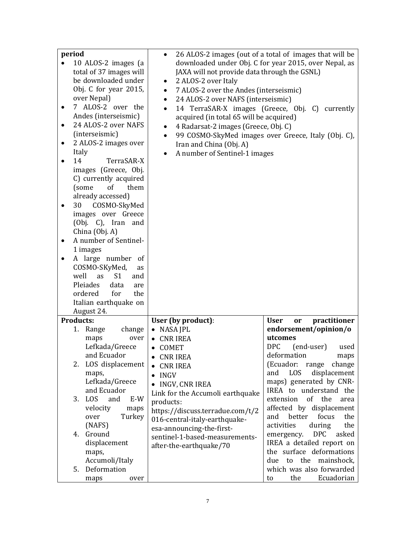| period                |                                     | 26 ALOS-2 images (out of a total of images that will be<br>$\bullet$ |                                   |  |  |  |  |
|-----------------------|-------------------------------------|----------------------------------------------------------------------|-----------------------------------|--|--|--|--|
|                       | 10 ALOS-2 images (a                 | downloaded under Obj. C for year 2015, over Nepal, as                |                                   |  |  |  |  |
|                       | total of 37 images will             | JAXA will not provide data through the GSNL)                         |                                   |  |  |  |  |
|                       | be downloaded under                 | 2 ALOS-2 over Italy<br>٠                                             |                                   |  |  |  |  |
|                       | Obj. C for year 2015,               | 7 ALOS-2 over the Andes (interseismic)<br>$\bullet$                  |                                   |  |  |  |  |
|                       | over Nepal)                         | 24 ALOS-2 over NAFS (interseismic)                                   |                                   |  |  |  |  |
| ٠                     | 7 ALOS-2 over the                   | $\bullet$                                                            |                                   |  |  |  |  |
|                       | Andes (interseismic)                | 14 TerraSAR-X images (Greece, Obj. C) currently<br>$\bullet$         |                                   |  |  |  |  |
|                       | 24 ALOS-2 over NAFS                 | acquired (in total 65 will be acquired)                              |                                   |  |  |  |  |
| ٠                     |                                     | 4 Radarsat-2 images (Greece, Obj. C)<br>٠                            |                                   |  |  |  |  |
|                       | (interseismic)                      | 99 COSMO-SkyMed images over Greece, Italy (Obj. C),<br>$\bullet$     |                                   |  |  |  |  |
| ٠                     | 2 ALOS-2 images over                | Iran and China (Obj. A)                                              |                                   |  |  |  |  |
|                       | Italy                               | A number of Sentinel-1 images<br>$\bullet$                           |                                   |  |  |  |  |
|                       | 14<br>TerraSAR-X                    |                                                                      |                                   |  |  |  |  |
|                       | images (Greece, Obj.                |                                                                      |                                   |  |  |  |  |
|                       | C) currently acquired               |                                                                      |                                   |  |  |  |  |
|                       | of<br>them<br>(some                 |                                                                      |                                   |  |  |  |  |
|                       | already accessed)                   |                                                                      |                                   |  |  |  |  |
| ٠                     | COSMO-SkyMed<br>30                  |                                                                      |                                   |  |  |  |  |
|                       | images over Greece                  |                                                                      |                                   |  |  |  |  |
|                       | (Obj. C), Iran and                  |                                                                      |                                   |  |  |  |  |
|                       | China (Obj. A)                      |                                                                      |                                   |  |  |  |  |
| $\bullet$             | A number of Sentinel-               |                                                                      |                                   |  |  |  |  |
|                       | 1 images                            |                                                                      |                                   |  |  |  |  |
|                       | A large number of                   |                                                                      |                                   |  |  |  |  |
|                       | COSMO-SKyMed,<br>as                 |                                                                      |                                   |  |  |  |  |
|                       | S <sub>1</sub><br>well<br>as<br>and |                                                                      |                                   |  |  |  |  |
|                       | Pleiades<br>data<br>are             |                                                                      |                                   |  |  |  |  |
|                       | ordered<br>for<br>the               |                                                                      |                                   |  |  |  |  |
|                       |                                     |                                                                      |                                   |  |  |  |  |
| Italian earthquake on |                                     |                                                                      |                                   |  |  |  |  |
| August 24.            |                                     |                                                                      |                                   |  |  |  |  |
|                       | <b>Products:</b>                    | User (by product):                                                   | practitioner<br><b>User</b><br>or |  |  |  |  |
|                       | 1. Range<br>change                  | NASA JPL                                                             | endorsement/opinion/o             |  |  |  |  |
|                       | over<br>maps                        | <b>CNR IREA</b>                                                      | utcomes                           |  |  |  |  |
|                       | Lefkada/Greece                      | COMET<br>$\bullet$                                                   | <b>DPC</b><br>(end-user)<br>used  |  |  |  |  |
|                       | and Ecuador                         | <b>CNR IREA</b><br>$\bullet$                                         | deformation<br>maps               |  |  |  |  |
|                       | LOS displacement<br>2.              | <b>CNR IREA</b>                                                      | (Ecuador:<br>change<br>range      |  |  |  |  |
|                       | maps,                               | <b>INGV</b>                                                          | displacement<br>and<br><b>LOS</b> |  |  |  |  |
|                       | Lefkada/Greece                      | INGV, CNR IREA<br>$\bullet$                                          | maps) generated by CNR-           |  |  |  |  |
|                       | and Ecuador                         | Link for the Accumoli earthquake                                     | IREA to understand the            |  |  |  |  |
|                       | LOS<br>E-W<br>3.<br>and             | products:                                                            | of the<br>extension<br>area       |  |  |  |  |
|                       | velocity<br>maps                    | https://discuss.terradue.com/t/2                                     | affected by displacement          |  |  |  |  |
|                       | Turkey<br>over                      | 016-central-italy-earthquake-                                        | better<br>focus<br>the<br>and     |  |  |  |  |
|                       | (NAFS)                              | esa-announcing-the-first-                                            | activities<br>during<br>the       |  |  |  |  |
|                       | Ground<br>4.                        | sentinel-1-based-measurements-                                       | <b>DPC</b><br>asked<br>emergency. |  |  |  |  |
| displacement          |                                     | IREA a detailed report on                                            |                                   |  |  |  |  |
| maps,                 |                                     | after-the-earthquake/70                                              | the surface deformations          |  |  |  |  |
| Accumoli/Italy        |                                     | to the mainshock,<br>due                                             |                                   |  |  |  |  |
| Deformation<br>5.     |                                     |                                                                      | which was also forwarded          |  |  |  |  |
|                       | over<br>maps                        |                                                                      | Ecuadorian<br>the<br>to           |  |  |  |  |
|                       |                                     |                                                                      |                                   |  |  |  |  |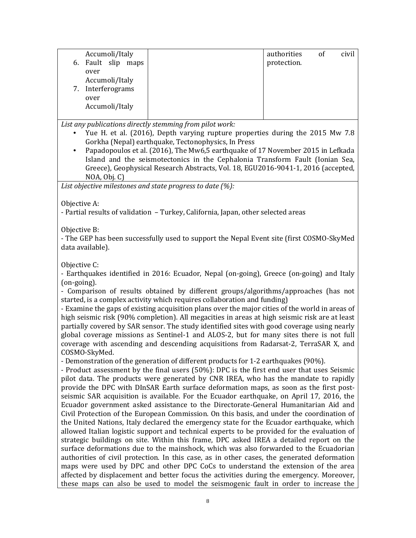|    | Accumoli/Italy  | authorities | 0f | civil |
|----|-----------------|-------------|----|-------|
| 6. | Fault slip maps | protection. |    |       |
|    | over            |             |    |       |
|    | Accumoli/Italy  |             |    |       |
| 7. | Interferograms  |             |    |       |
|    | over            |             |    |       |
|    | Accumoli/Italy  |             |    |       |
|    |                 |             |    |       |

*List any publications directly stemming from pilot work:*

- Yue H. et al. (2016), Depth varying rupture properties during the 2015 Mw 7.8 Gorkha (Nepal) earthquake, Tectonophysics, In Press
- Papadopoulos et al. (2016), The Mw6,5 earthquake of 17 November 2015 in Lefkada Island and the seismotectonics in the Cephalonia Transform Fault (Ionian Sea, Greece), Geophysical Research Abstracts, Vol. 18, EGU2016-9041-1, 2016 (accepted, NOA, Obj. C)

*List objective milestones and state progress to date (%):*

Objective A:

- Partial results of validation – Turkey, California, Japan, other selected areas

Objective B:

- The GEP has been successfully used to support the Nepal Event site (first COSMO-SkyMed data available).

Objective C:

- Earthquakes identified in 2016: Ecuador, Nepal (on-going), Greece (on-going) and Italy (on-going).

- Comparison of results obtained by different groups/algorithms/approaches (has not started, is a complex activity which requires collaboration and funding)

- Examine the gaps of existing acquisition plans over the major cities of the world in areas of high seismic risk (90% completion). All megacities in areas at high seismic risk are at least partially covered by SAR sensor. The study identified sites with good coverage using nearly global coverage missions as Sentinel-1 and ALOS-2, but for many sites there is not full coverage with ascending and descending acquisitions from Radarsat-2, TerraSAR X, and COSMO-SkyMed.

- Demonstration of the generation of different products for 1-2 earthquakes (90%).

- Product assessment by the final users (50%): DPC is the first end user that uses Seismic pilot data. The products were generated by CNR IREA, who has the mandate to rapidly provide the DPC with DInSAR Earth surface deformation maps, as soon as the first postseismic SAR acquisition is available. For the Ecuador earthquake, on April 17, 2016, the Ecuador government asked assistance to the Directorate-General Humanitarian Aid and Civil Protection of the European Commission. On this basis, and under the coordination of the United Nations, Italy declared the emergency state for the Ecuador earthquake, which allowed Italian logistic support and technical experts to be provided for the evaluation of strategic buildings on site. Within this frame, DPC asked IREA a detailed report on the surface deformations due to the mainshock, which was also forwarded to the Ecuadorian authorities of civil protection. In this case, as in other cases, the generated deformation maps were used by DPC and other DPC CoCs to understand the extension of the area affected by displacement and better focus the activities during the emergency. Moreover, these maps can also be used to model the seismogenic fault in order to increase the